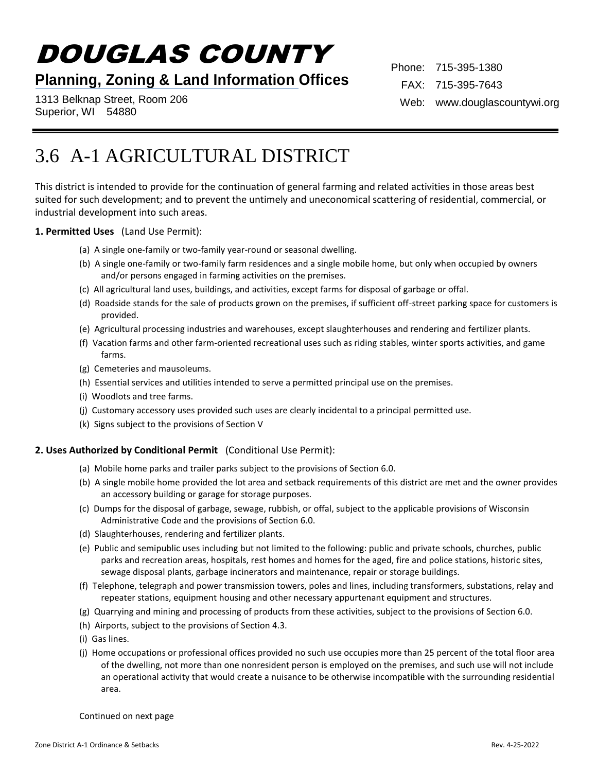# DOUGLAS COUNTY

## **Planning, Zoning & Land Information Offices**

1313 Belknap Street, Room 206 Superior, WI 54880

Phone: 715-395-1380 FAX: 715-395-7643 Web: www.douglascountywi.org

# 3.6 A-1 AGRICULTURAL DISTRICT

This district is intended to provide for the continuation of general farming and related activities in those areas best suited for such development; and to prevent the untimely and uneconomical scattering of residential, commercial, or industrial development into such areas.

#### **1. Permitted Uses** (Land Use Permit):

- (a) A single one-family or two-family year-round or seasonal dwelling.
- (b) A single one-family or two-family farm residences and a single mobile home, but only when occupied by owners and/or persons engaged in farming activities on the premises.
- (c) All agricultural land uses, buildings, and activities, except farms for disposal of garbage or offal.
- (d) Roadside stands for the sale of products grown on the premises, if sufficient off-street parking space for customers is provided.
- (e) Agricultural processing industries and warehouses, except slaughterhouses and rendering and fertilizer plants.
- (f) Vacation farms and other farm-oriented recreational uses such as riding stables, winter sports activities, and game farms.
- (g) Cemeteries and mausoleums.
- (h) Essential services and utilities intended to serve a permitted principal use on the premises.
- (i) Woodlots and tree farms.
- (j) Customary accessory uses provided such uses are clearly incidental to a principal permitted use.
- (k) Signs subject to the provisions of Section V

#### **2. Uses Authorized by Conditional Permit** (Conditional Use Permit):

- (a) Mobile home parks and trailer parks subject to the provisions of Section 6.0.
- (b) A single mobile home provided the lot area and setback requirements of this district are met and the owner provides an accessory building or garage for storage purposes.
- (c) Dumps for the disposal of garbage, sewage, rubbish, or offal, subject to the applicable provisions of Wisconsin Administrative Code and the provisions of Section 6.0.
- (d) Slaughterhouses, rendering and fertilizer plants.
- (e) Public and semipublic uses including but not limited to the following: public and private schools, churches, public parks and recreation areas, hospitals, rest homes and homes for the aged, fire and police stations, historic sites, sewage disposal plants, garbage incinerators and maintenance, repair or storage buildings.
- (f) Telephone, telegraph and power transmission towers, poles and lines, including transformers, substations, relay and repeater stations, equipment housing and other necessary appurtenant equipment and structures.
- (g) Quarrying and mining and processing of products from these activities, subject to the provisions of Section 6.0.
- (h) Airports, subject to the provisions of Section 4.3.
- (i) Gas lines.
- (j) Home occupations or professional offices provided no such use occupies more than 25 percent of the total floor area of the dwelling, not more than one nonresident person is employed on the premises, and such use will not include an operational activity that would create a nuisance to be otherwise incompatible with the surrounding residential area.

Continued on next page